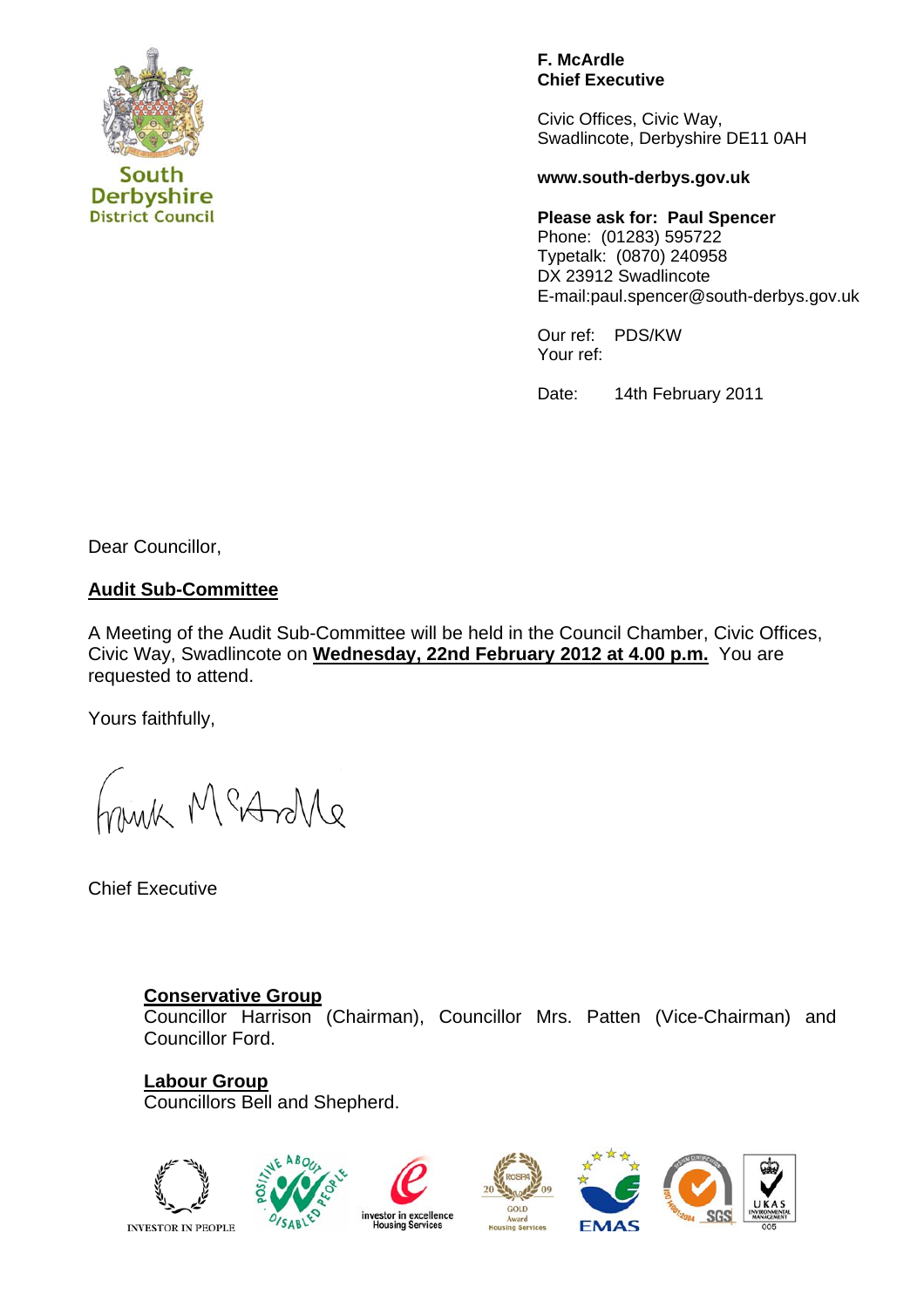

**District Council** 

#### **F. McArdle Chief Executive**

Civic Offices, Civic Way, Swadlincote, Derbyshire DE11 0AH

#### **www.south-derbys.gov.uk**

**Please ask for: Paul Spencer**  Phone: (01283) 595722 Typetalk: (0870) 240958 DX 23912 Swadlincote E-mail:paul.spencer@south-derbys.gov.uk

Our ref: PDS/KW Your ref:

Date: 14th February 2011

Dear Councillor,

## **Audit Sub-Committee**

A Meeting of the Audit Sub-Committee will be held in the Council Chamber, Civic Offices, Civic Way, Swadlincote on **Wednesday, 22nd February 2012 at 4.00 p.m.** You are requested to attend.

Yours faithfully,

ank McAsMe

Chief Executive

## **Conservative Group**

 Councillor Harrison (Chairman), Councillor Mrs. Patten (Vice-Chairman) and Councillor Ford.

**Labour Group**  Councillors Bell and Shepherd.